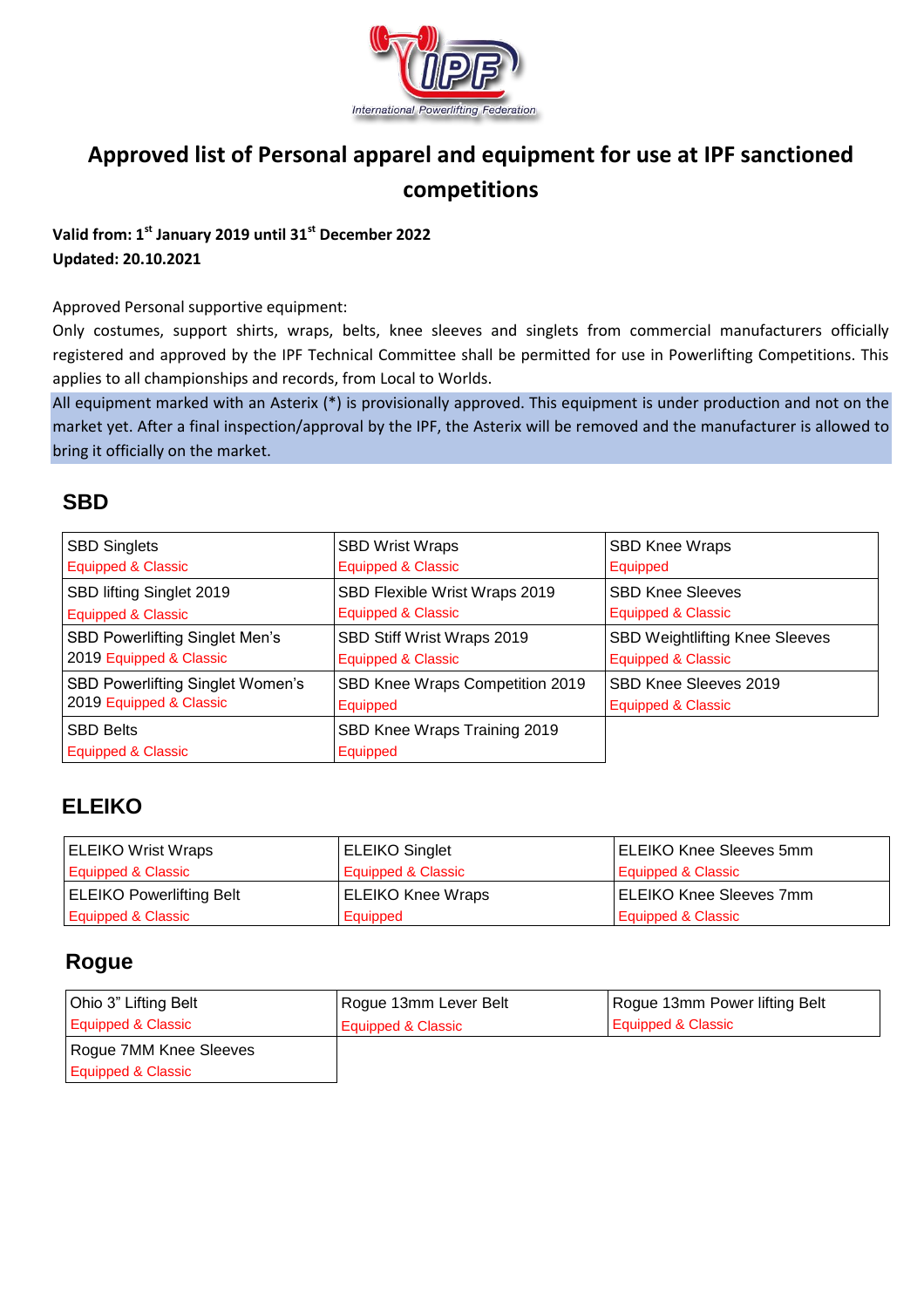

## **Approved list of Personal apparel and equipment for use at IPF sanctioned competitions**

#### **Valid from: 1st January 2019 until 31st December 2022 Updated: 20.10.2021**

Approved Personal supportive equipment:

Only costumes, support shirts, wraps, belts, knee sleeves and singlets from commercial manufacturers officially registered and approved by the IPF Technical Committee shall be permitted for use in Powerlifting Competitions. This applies to all championships and records, from Local to Worlds.

All equipment marked with an Asterix (\*) is provisionally approved. This equipment is under production and not on the market yet. After a final inspection/approval by the IPF, the Asterix will be removed and the manufacturer is allowed to bring it officially on the market.

#### **SBD**

| <b>SBD Singlets</b>                     | <b>SBD Wrist Wraps</b>          | <b>SBD Knee Wraps</b>                 |
|-----------------------------------------|---------------------------------|---------------------------------------|
| <b>Equipped &amp; Classic</b>           | <b>Equipped &amp; Classic</b>   | Equipped                              |
| SBD lifting Singlet 2019                | SBD Flexible Wrist Wraps 2019   | <b>SBD Knee Sleeves</b>               |
| <b>Equipped &amp; Classic</b>           | <b>Equipped &amp; Classic</b>   | <b>Equipped &amp; Classic</b>         |
| SBD Powerlifting Singlet Men's          | SBD Stiff Wrist Wraps 2019      | <b>SBD Weightlifting Knee Sleeves</b> |
| 2019 Equipped & Classic                 | <b>Equipped &amp; Classic</b>   | <b>Equipped &amp; Classic</b>         |
| <b>SBD Powerlifting Singlet Women's</b> | SBD Knee Wraps Competition 2019 | SBD Knee Sleeves 2019                 |
| 2019 Equipped & Classic                 | Equipped                        | <b>Equipped &amp; Classic</b>         |
| <b>SBD Belts</b>                        | SBD Knee Wraps Training 2019    |                                       |
| Equipped & Classic                      | Equipped                        |                                       |

### **ELEIKO**

| <b>ELEIKO Wrist Wraps</b>       | <b>ELEIKO Singlet</b>    | <b>ELEIKO Knee Sleeves 5mm</b> |
|---------------------------------|--------------------------|--------------------------------|
| Equipped & Classic              | Equipped & Classic       | Equipped & Classic             |
| <b>ELEIKO Powerlifting Belt</b> | <b>ELEIKO Knee Wraps</b> | <b>ELEIKO Knee Sleeves 7mm</b> |
| Equipped & Classic              | Equipped                 | Equipped & Classic             |

#### **Rogue**

| Ohio 3" Lifting Belt          | Rogue 13mm Lever Belt | Rogue 13mm Power lifting Belt |
|-------------------------------|-----------------------|-------------------------------|
| Equipped & Classic            | Equipped & Classic    | Equipped & Classic            |
| Rogue 7MM Knee Sleeves        |                       |                               |
| <b>Equipped &amp; Classic</b> |                       |                               |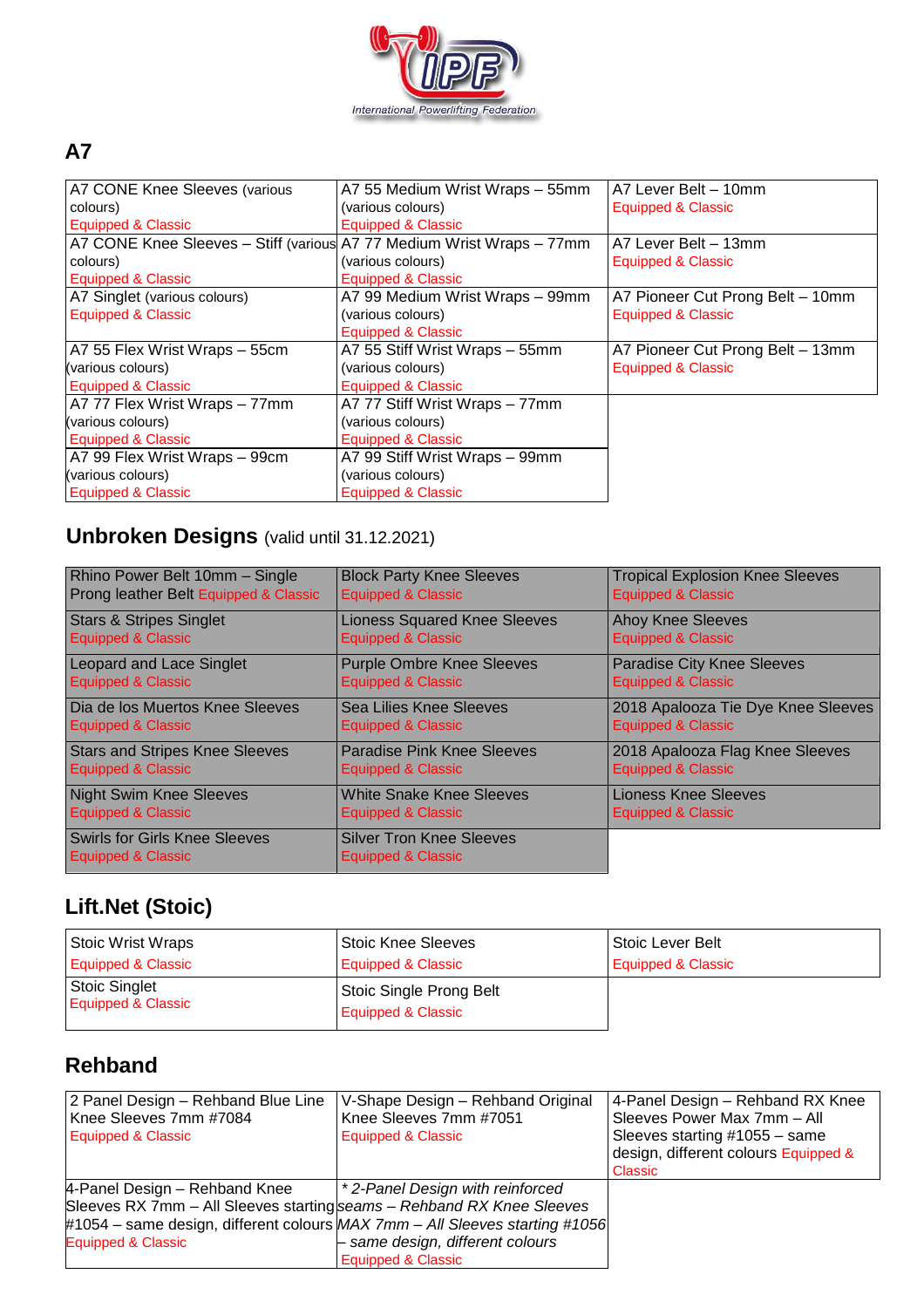

### **A7**

| A7 CONE Knee Sleeves (various                                         | A7 55 Medium Wrist Wraps - 55mm | A7 Lever Belt - 10mm             |
|-----------------------------------------------------------------------|---------------------------------|----------------------------------|
| colours)                                                              | (various colours)               | Equipped & Classic               |
| <b>Equipped &amp; Classic</b>                                         | Equipped & Classic              |                                  |
| A7 CONE Knee Sleeves - Stiff (various A7 77 Medium Wrist Wraps - 77mm |                                 | A7 Lever Belt - 13mm             |
| colours)                                                              | (various colours)               | Equipped & Classic               |
| Equipped & Classic                                                    | Equipped & Classic              |                                  |
| A7 Singlet (various colours)                                          | A7 99 Medium Wrist Wraps - 99mm | A7 Pioneer Cut Prong Belt - 10mm |
| <b>Equipped &amp; Classic</b>                                         | (various colours)               | <b>Equipped &amp; Classic</b>    |
|                                                                       | Equipped & Classic              |                                  |
| A7 55 Flex Wrist Wraps - 55cm                                         | A7 55 Stiff Wrist Wraps - 55mm  | A7 Pioneer Cut Prong Belt - 13mm |
| (various colours)                                                     | (various colours)               | <b>Equipped &amp; Classic</b>    |
| <b>Equipped &amp; Classic</b>                                         | Equipped & Classic              |                                  |
| A7 77 Flex Wrist Wraps - 77mm                                         | A7 77 Stiff Wrist Wraps - 77mm  |                                  |
| (various colours)                                                     | (various colours)               |                                  |
| Equipped & Classic                                                    | Equipped & Classic              |                                  |
| A7 99 Flex Wrist Wraps - 99cm                                         | A7 99 Stiff Wrist Wraps - 99mm  |                                  |
| (various colours)                                                     | (various colours)               |                                  |
| <b>Equipped &amp; Classic</b>                                         | <b>Equipped &amp; Classic</b>   |                                  |

# **Unbroken Designs** (valid until 31.12.2021)

| Rhino Power Belt 10mm - Single                                        | <b>Block Party Knee Sleeves</b>                       | <b>Tropical Explosion Knee Sleeves</b> |
|-----------------------------------------------------------------------|-------------------------------------------------------|----------------------------------------|
| Prong leather Belt Equipped & Classic                                 | Equipped & Classic                                    | Equipped & Classic                     |
| <b>Stars &amp; Stripes Singlet</b>                                    | <b>Lioness Squared Knee Sleeves</b>                   | <b>Ahoy Knee Sleeves</b>               |
| <b>Equipped &amp; Classic</b>                                         | <b>Equipped &amp; Classic</b>                         | <b>Equipped &amp; Classic</b>          |
| <b>Leopard and Lace Singlet</b>                                       | <b>Purple Ombre Knee Sleeves</b>                      | <b>Paradise City Knee Sleeves</b>      |
| <b>Equipped &amp; Classic</b>                                         | Equipped & Classic                                    | <b>Equipped &amp; Classic</b>          |
| Dia de los Muertos Knee Sleeves                                       | <b>Sea Lilies Knee Sleeves</b>                        | 2018 Apalooza Tie Dye Knee Sleeves     |
| <b>Equipped &amp; Classic</b>                                         | Equipped & Classic                                    | <b>Equipped &amp; Classic</b>          |
| <b>Stars and Stripes Knee Sleeves</b>                                 | <b>Paradise Pink Knee Sleeves</b>                     | 2018 Apalooza Flag Knee Sleeves        |
| <b>Equipped &amp; Classic</b>                                         | Equipped & Classic                                    | <b>Equipped &amp; Classic</b>          |
| <b>Night Swim Knee Sleeves</b>                                        | <b>White Snake Knee Sleeves</b>                       | <b>Lioness Knee Sleeves</b>            |
| <b>Equipped &amp; Classic</b>                                         | Equipped & Classic                                    | Equipped & Classic                     |
| <b>Swirls for Girls Knee Sleeves</b><br><b>Equipped &amp; Classic</b> | <b>Silver Tron Knee Sleeves</b><br>Equipped & Classic |                                        |

# **Lift.Net (Stoic)**

| Stoic Wrist Wraps                              | <b>Stoic Knee Sleeves</b>                     | Stoic Lever Belt   |
|------------------------------------------------|-----------------------------------------------|--------------------|
| Equipped & Classic                             | Equipped & Classic                            | Equipped & Classic |
| Stoic Singlet<br><b>Equipped &amp; Classic</b> | Stoic Single Prong Belt<br>Equipped & Classic |                    |

## **Rehband**

| 2 Panel Design - Rehband Blue Line                                    | V-Shape Design - Rehband Original                                           | 4-Panel Design - Rehband RX Knee     |
|-----------------------------------------------------------------------|-----------------------------------------------------------------------------|--------------------------------------|
| Knee Sleeves 7mm #7084                                                | Knee Sleeves 7mm #7051                                                      | Sleeves Power Max 7mm - All          |
| <b>Equipped &amp; Classic</b>                                         | <b>Equipped &amp; Classic</b>                                               | Sleeves starting #1055 - same        |
|                                                                       |                                                                             | design, different colours Equipped & |
|                                                                       |                                                                             | Classic                              |
| 4-Panel Design - Rehband Knee                                         | <sup>*</sup> 2-Panel Design with reinforced                                 |                                      |
| Sleeves RX 7mm - All Sleeves starting seams - Rehband RX Knee Sleeves |                                                                             |                                      |
|                                                                       | #1054 – same design, different colours MAX 7mm – All Sleeves starting #1056 |                                      |
| Equipped & Classic                                                    | - same design, different colours                                            |                                      |
|                                                                       | <b>Equipped &amp; Classic</b>                                               |                                      |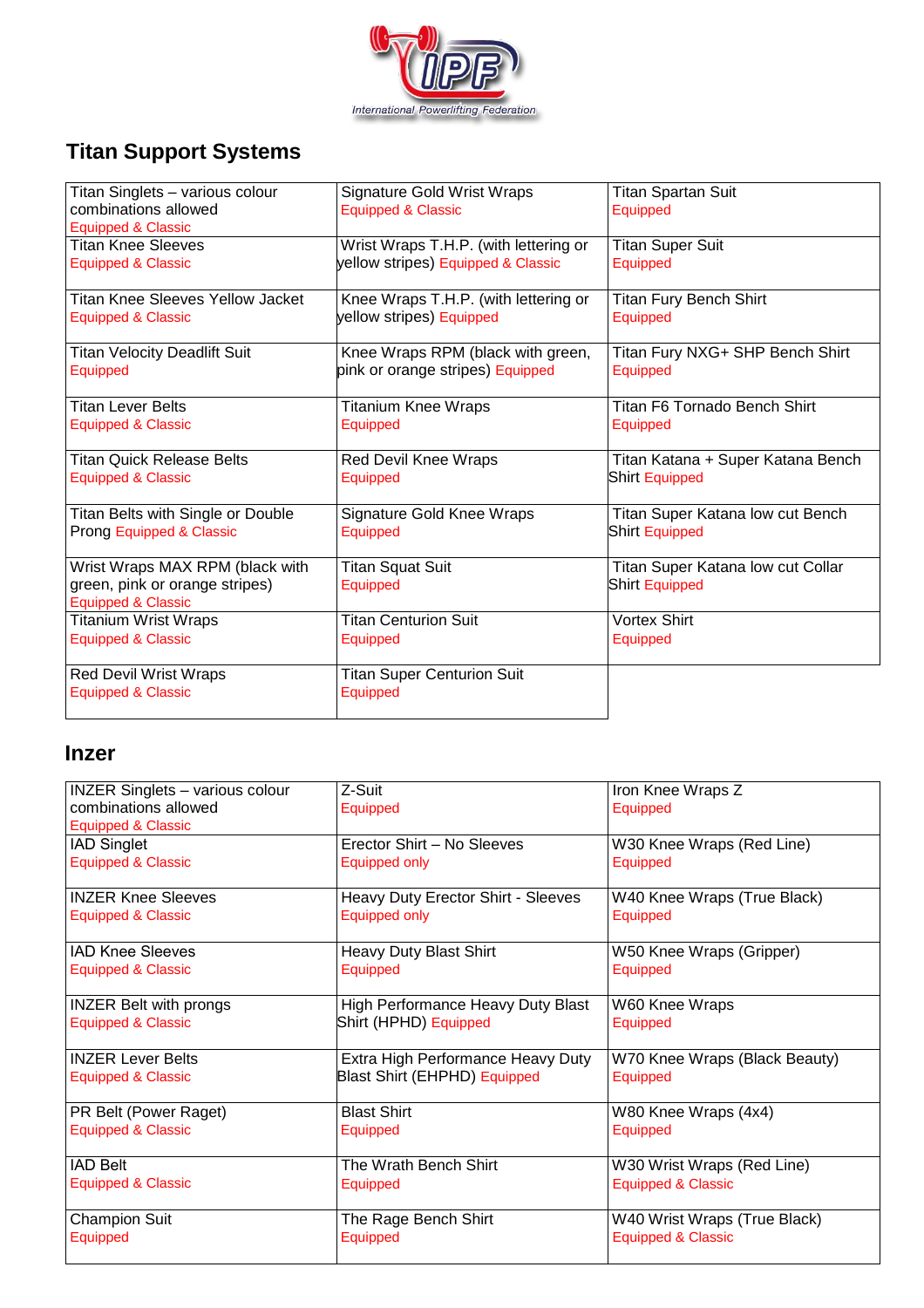

# **Titan Support Systems**

| Titan Singlets - various colour                                 | <b>Signature Gold Wrist Wraps</b>     | <b>Titan Spartan Suit</b>         |
|-----------------------------------------------------------------|---------------------------------------|-----------------------------------|
| combinations allowed<br><b>Equipped &amp; Classic</b>           | <b>Equipped &amp; Classic</b>         | Equipped                          |
| Titan Knee Sleeves                                              | Wrist Wraps T.H.P. (with lettering or | <b>Titan Super Suit</b>           |
| <b>Equipped &amp; Classic</b>                                   | yellow stripes) Equipped & Classic    | Equipped                          |
| Titan Knee Sleeves Yellow Jacket                                | Knee Wraps T.H.P. (with lettering or  | <b>Titan Fury Bench Shirt</b>     |
| Equipped & Classic                                              | yellow stripes) Equipped              | Equipped                          |
| <b>Titan Velocity Deadlift Suit</b>                             | Knee Wraps RPM (black with green,     | Titan Fury NXG+ SHP Bench Shirt   |
| Equipped                                                        | pink or orange stripes) Equipped      | Equipped                          |
| Titan Lever Belts                                               | <b>Titanium Knee Wraps</b>            | Titan F6 Tornado Bench Shirt      |
| <b>Equipped &amp; Classic</b>                                   | Equipped                              | Equipped                          |
| <b>Titan Quick Release Belts</b>                                | Red Devil Knee Wraps                  | Titan Katana + Super Katana Bench |
| <b>Equipped &amp; Classic</b>                                   | Equipped                              | Shirt Equipped                    |
| Titan Belts with Single or Double                               | Signature Gold Knee Wraps             | Titan Super Katana low cut Bench  |
| Prong Equipped & Classic                                        | Equipped                              | Shirt Equipped                    |
| Wrist Wraps MAX RPM (black with                                 | <b>Titan Squat Suit</b>               | Titan Super Katana low cut Collar |
| green, pink or orange stripes)<br><b>Equipped &amp; Classic</b> | Equipped                              | Shirt Equipped                    |
| Titanium Wrist Wraps                                            | <b>Titan Centurion Suit</b>           | <b>Vortex Shirt</b>               |
| <b>Equipped &amp; Classic</b>                                   | Equipped                              | Equipped                          |
| <b>Red Devil Wrist Wraps</b>                                    | <b>Titan Super Centurion Suit</b>     |                                   |
| <b>Equipped &amp; Classic</b>                                   | Equipped                              |                                   |

### **Inzer**

| <b>INZER Singlets - various colour</b> | Z-Suit                              | Iron Knee Wraps Z             |
|----------------------------------------|-------------------------------------|-------------------------------|
| combinations allowed                   | Equipped                            | Equipped                      |
| <b>Equipped &amp; Classic</b>          |                                     |                               |
| <b>IAD Singlet</b>                     | Erector Shirt - No Sleeves          | W30 Knee Wraps (Red Line)     |
| Equipped & Classic                     | Equipped only                       | Equipped                      |
|                                        |                                     |                               |
| <b>INZER Knee Sleeves</b>              | Heavy Duty Erector Shirt - Sleeves  | W40 Knee Wraps (True Black)   |
| <b>Equipped &amp; Classic</b>          | Equipped only                       | Equipped                      |
|                                        |                                     |                               |
| <b>IAD Knee Sleeves</b>                | Heavy Duty Blast Shirt              | W50 Knee Wraps (Gripper)      |
| Equipped & Classic                     | Equipped                            | Equipped                      |
|                                        |                                     |                               |
| <b>INZER Belt with prongs</b>          | High Performance Heavy Duty Blast   | W60 Knee Wraps                |
| <b>Equipped &amp; Classic</b>          | Shirt (HPHD) Equipped               | Equipped                      |
| <b>INZER Lever Belts</b>               | Extra High Performance Heavy Duty   | W70 Knee Wraps (Black Beauty) |
| <b>Equipped &amp; Classic</b>          | <b>Blast Shirt (EHPHD) Equipped</b> | Equipped                      |
|                                        |                                     |                               |
| PR Belt (Power Raget)                  | <b>Blast Shirt</b>                  | W80 Knee Wraps (4x4)          |
| <b>Equipped &amp; Classic</b>          | Equipped                            | Equipped                      |
|                                        |                                     |                               |
| <b>IAD Belt</b>                        | The Wrath Bench Shirt               | W30 Wrist Wraps (Red Line)    |
| Equipped & Classic                     | Equipped                            | Equipped & Classic            |
|                                        |                                     |                               |
| <b>Champion Suit</b>                   | The Rage Bench Shirt                | W40 Wrist Wraps (True Black)  |
| Equipped                               | Equipped                            | <b>Equipped &amp; Classic</b> |
|                                        |                                     |                               |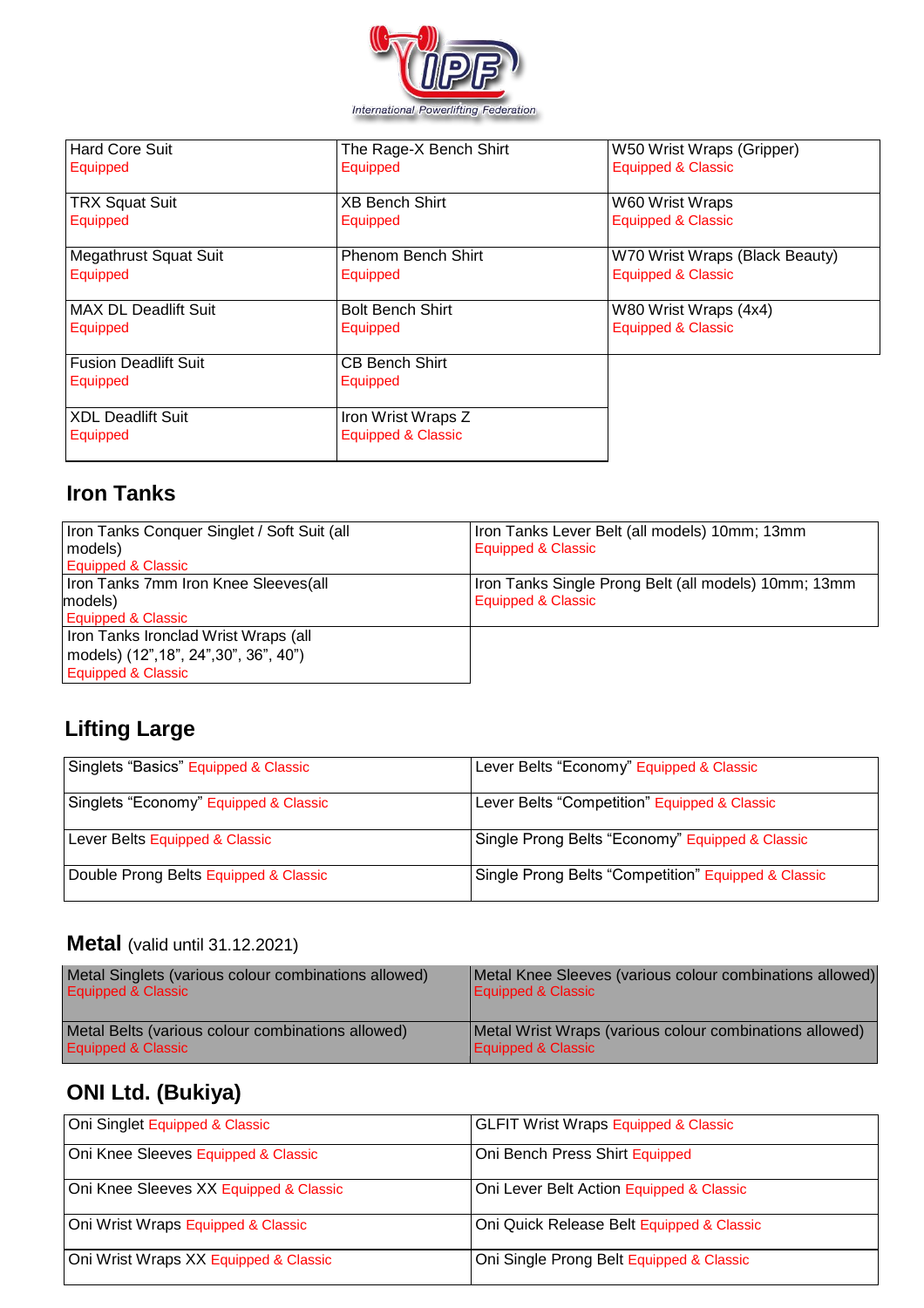

| <b>Hard Core Suit</b>        | The Rage-X Bench Shirt    | W50 Wrist Wraps (Gripper)      |
|------------------------------|---------------------------|--------------------------------|
| Equipped                     | Equipped                  | Equipped & Classic             |
|                              |                           |                                |
| <b>TRX Squat Suit</b>        | <b>XB Bench Shirt</b>     | W60 Wrist Wraps                |
| Equipped                     | Equipped                  | <b>Equipped &amp; Classic</b>  |
|                              |                           |                                |
| <b>Megathrust Squat Suit</b> | <b>Phenom Bench Shirt</b> | W70 Wrist Wraps (Black Beauty) |
| Equipped                     | Equipped                  | Equipped & Classic             |
|                              |                           |                                |
| <b>MAX DL Deadlift Suit</b>  | <b>Bolt Bench Shirt</b>   | W80 Wrist Wraps (4x4)          |
| Equipped                     | Equipped                  | Equipped & Classic             |
|                              |                           |                                |
| <b>Fusion Deadlift Suit</b>  | <b>CB Bench Shirt</b>     |                                |
| Equipped                     | Equipped                  |                                |
|                              |                           |                                |
| <b>XDL Deadlift Suit</b>     | Iron Wrist Wraps Z        |                                |
| Equipped                     | Equipped & Classic        |                                |
|                              |                           |                                |

### **Iron Tanks**

| Iron Tanks Conquer Singlet / Soft Suit (all<br>models)<br><b>Equipped &amp; Classic</b>              | Iron Tanks Lever Belt (all models) 10mm; 13mm<br>Equipped & Classic        |
|------------------------------------------------------------------------------------------------------|----------------------------------------------------------------------------|
| Iron Tanks 7mm Iron Knee Sleeves(all<br>models)<br><b>Equipped &amp; Classic</b>                     | Iron Tanks Single Prong Belt (all models) 10mm; 13mm<br>Equipped & Classic |
| Iron Tanks Ironclad Wrist Wraps (all<br>models) (12", 18", 24", 30", 36", 40")<br>Equipped & Classic |                                                                            |

## **Lifting Large**

| Singlets "Basics" Equipped & Classic  | Lever Belts "Economy" Equipped & Classic            |
|---------------------------------------|-----------------------------------------------------|
| Singlets "Economy" Equipped & Classic | Lever Belts "Competition" Equipped & Classic        |
| Lever Belts Equipped & Classic        | Single Prong Belts "Economy" Equipped & Classic     |
| Double Prong Belts Equipped & Classic | Single Prong Belts "Competition" Equipped & Classic |

## **Metal** (valid until 31.12.2021)

| Metal Singlets (various colour combinations allowed) | Metal Knee Sleeves (various colour combinations allowed) |
|------------------------------------------------------|----------------------------------------------------------|
| Equipped & Classic                                   | Equipped & Classic                                       |
| Metal Belts (various colour combinations allowed)    | Metal Wrist Wraps (various colour combinations allowed)  |
| Equipped & Classic                                   | Equipped & Classic                                       |

# **ONI Ltd. (Bukiya)**

| Oni Singlet Equipped & Classic         | <b>GLFIT Wrist Wraps Equipped &amp; Classic</b> |
|----------------------------------------|-------------------------------------------------|
| Oni Knee Sleeves Equipped & Classic    | Oni Bench Press Shirt Equipped                  |
| Oni Knee Sleeves XX Equipped & Classic | Oni Lever Belt Action Equipped & Classic        |
| Oni Wrist Wraps Equipped & Classic     | Oni Quick Release Belt Equipped & Classic       |
| Oni Wrist Wraps XX Equipped & Classic  | Oni Single Prong Belt Equipped & Classic        |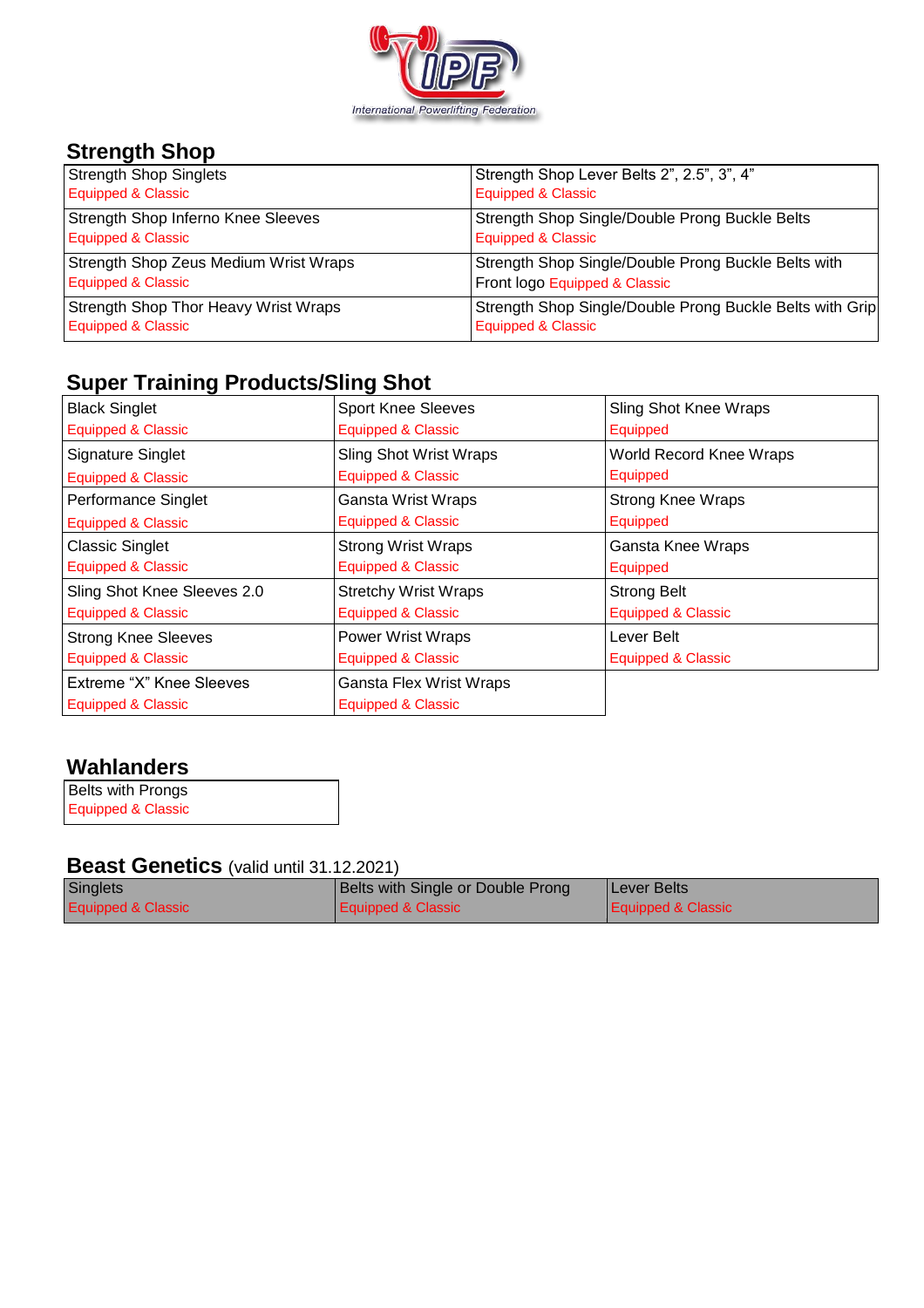

## **Strength Shop**

| <b>Strength Shop Singlets</b>             | Strength Shop Lever Belts 2", 2.5", 3", 4"               |
|-------------------------------------------|----------------------------------------------------------|
| Equipped & Classic                        | <b>Equipped &amp; Classic</b>                            |
| <b>Strength Shop Inferno Knee Sleeves</b> | Strength Shop Single/Double Prong Buckle Belts           |
| <b>Equipped &amp; Classic</b>             | <b>Equipped &amp; Classic</b>                            |
| Strength Shop Zeus Medium Wrist Wraps     | Strength Shop Single/Double Prong Buckle Belts with      |
| <b>Equipped &amp; Classic</b>             | Front logo Equipped & Classic                            |
| Strength Shop Thor Heavy Wrist Wraps      | Strength Shop Single/Double Prong Buckle Belts with Grip |
| <b>Equipped &amp; Classic</b>             | <b>Equipped &amp; Classic</b>                            |

## **Super Training Products/Sling Shot**

| <b>Black Singlet</b>          | <b>Sport Knee Sleeves</b>      | Sling Shot Knee Wraps    |
|-------------------------------|--------------------------------|--------------------------|
| <b>Equipped &amp; Classic</b> | <b>Equipped &amp; Classic</b>  | Equipped                 |
| <b>Signature Singlet</b>      | <b>Sling Shot Wrist Wraps</b>  | World Record Knee Wraps  |
| <b>Equipped &amp; Classic</b> | <b>Equipped &amp; Classic</b>  | Equipped                 |
| Performance Singlet           | Gansta Wrist Wraps             | <b>Strong Knee Wraps</b> |
| <b>Equipped &amp; Classic</b> | Equipped & Classic             | Equipped                 |
| <b>Classic Singlet</b>        | <b>Strong Wrist Wraps</b>      | Gansta Knee Wraps        |
| <b>Equipped &amp; Classic</b> | Equipped & Classic             | Equipped                 |
| Sling Shot Knee Sleeves 2.0   | <b>Stretchy Wrist Wraps</b>    | <b>Strong Belt</b>       |
| Equipped & Classic            | Equipped & Classic             | Equipped & Classic       |
| <b>Strong Knee Sleeves</b>    | <b>Power Wrist Wraps</b>       | Lever Belt               |
| Equipped & Classic            | <b>Equipped &amp; Classic</b>  | Equipped & Classic       |
| Extreme "X" Knee Sleeves      | <b>Gansta Flex Wrist Wraps</b> |                          |
| <b>Equipped &amp; Classic</b> | <b>Equipped &amp; Classic</b>  |                          |

#### **Wahlanders**

Belts with Prongs Equipped & Classic

### **Beast Genetics** (valid until 31.12.2021)

| Singlets                      | Belts with Single or Double Prong | Lever Belts        |
|-------------------------------|-----------------------------------|--------------------|
| <b>Equipped &amp; Classic</b> | <b>Equipped &amp; Classic</b>     | Equipped & Classic |